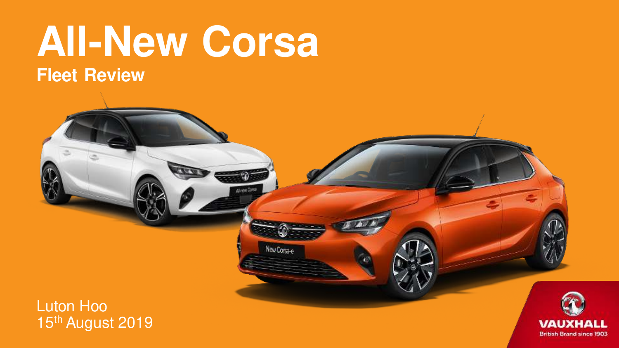## **All-New Corsa Fleet Review**

New Corsa-e

#### Luton Hoo 15th August 2019

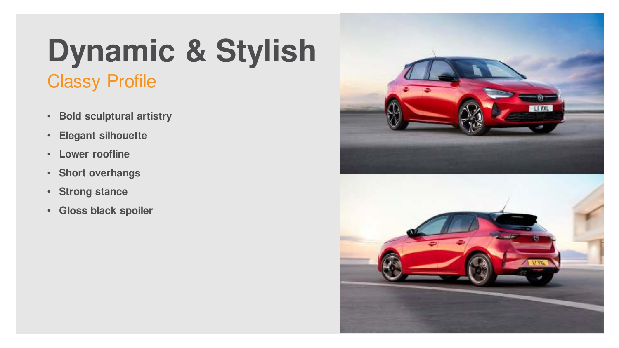## Classy Profile **Dynamic & Stylish**

- **Bold sculptural artistry**
- **Elegant silhouette**
- **Lower roofline**
- **Short overhangs**
- **Strong stance**
- **Gloss black spoiler**

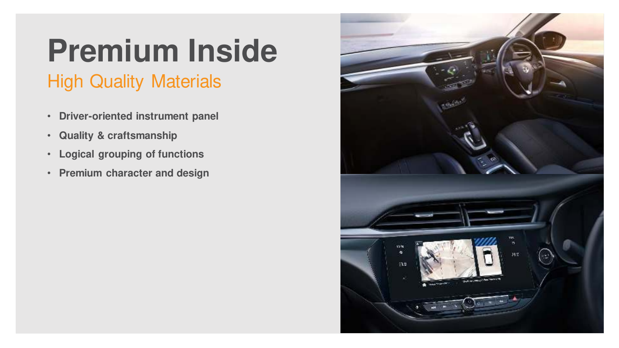## High Quality Materials **Premium Inside**

- **Driver-oriented instrument panel**
- **Quality & craftsmanship**
- **Logical grouping of functions**
- **Premium character and design**

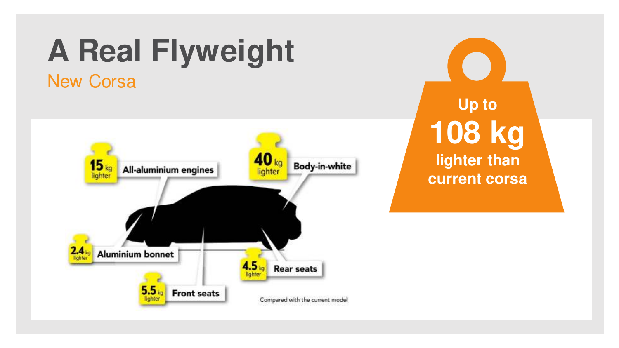## New Corsa **A Real Flyweight**



**Up to 108 kg lighter than current corsa**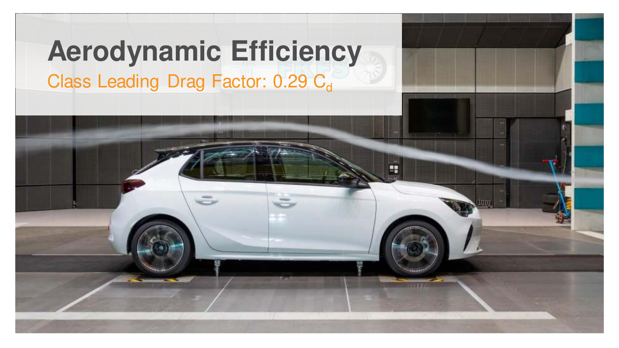## Class Leading Drag Factor: 0.29 Cd **Aerodynamic Efficiency**

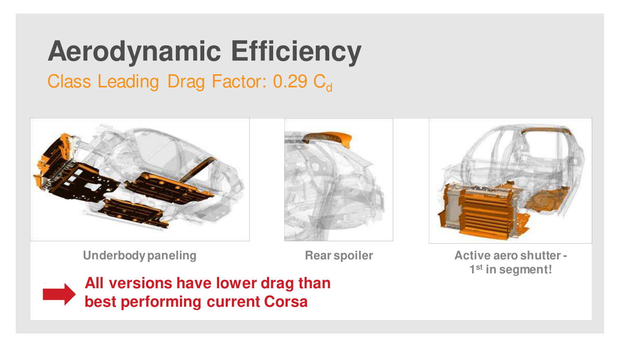## **Aerodynamic Efficiency**

### Class Leading Drag Factor: 0.29 C<sub>d</sub>



**Underbody paneling The Rear spoiler** 

**Active aero shutter - 1 st in segment!**



**All versions have lower drag than best performing current Corsa**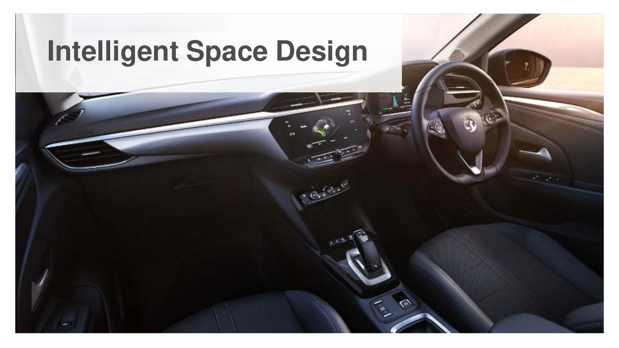## **Intelligent Space Design**

 $-9.900$ 

 $\mathcal{L}_{\mathcal{P}_{\mathcal{P}_{\mathcal{P}}}}$ 

EC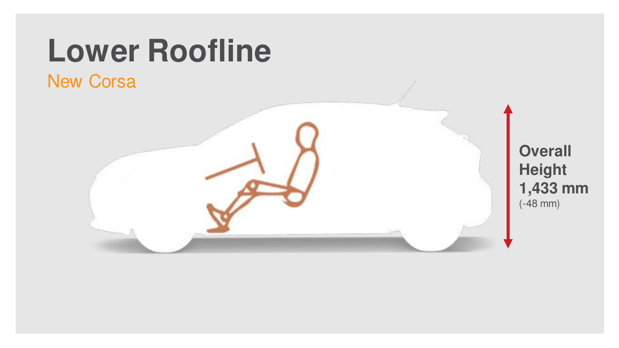## **Lower Roofline**

### New Corsa

### **Overall Height 1,433 mm** (-48 mm)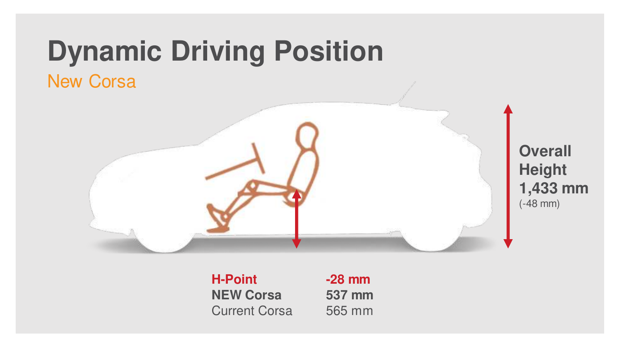# **Dynamic Driving Position**

### New Corsa



**Overall Height 1,433 mm** (-48 mm)

**H-Point NEW Corsa** Current Corsa **-28 mm 537 mm**  565 mm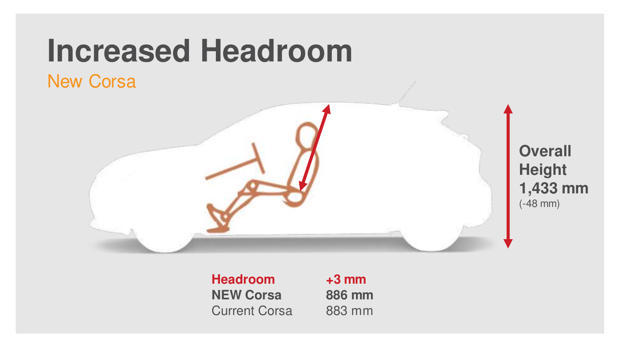## **Increased Headroom**

### New Corsa



**Overall Height 1,433 mm** (-48 mm)

**Headroom NEW Corsa** Current Corsa **+3 mm 886 mm**  883 mm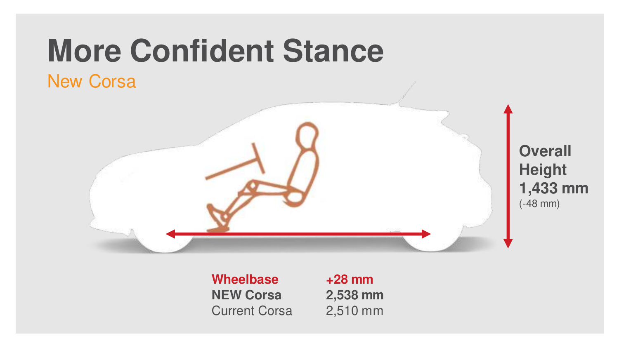# **More Confident Stance**

### New Corsa



**Overall Height 1,433 mm** (-48 mm)

**Wheelbase NEW Corsa** Current Corsa

**+28 mm 2,538 mm**  2,510 mm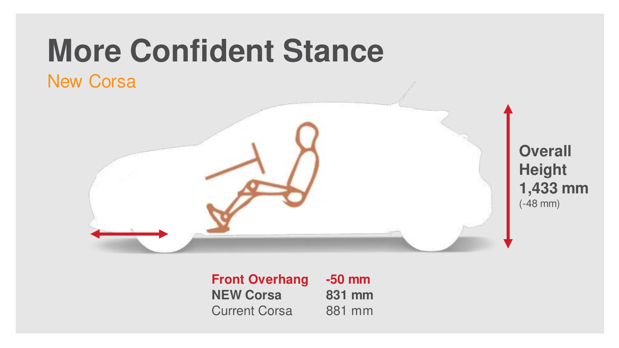# **More Confident Stance**

### New Corsa



**Overall Height 1,433 mm** (-48 mm)

**Front Overhang NEW Corsa** Current Corsa **-50 mm 831 mm**  881 mm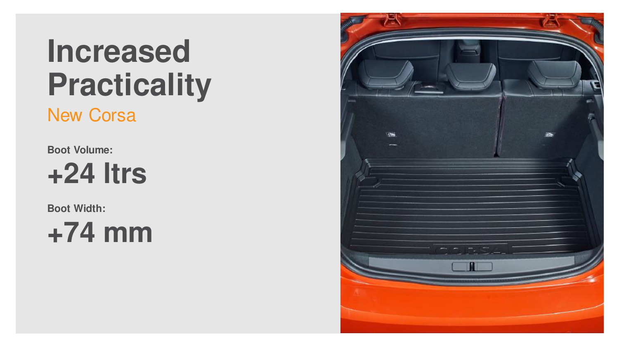# **Increased Practicality**

New Corsa

**Boot Volume:** 

**+24 ltrs**

**Boot Width:**

**+74 mm**

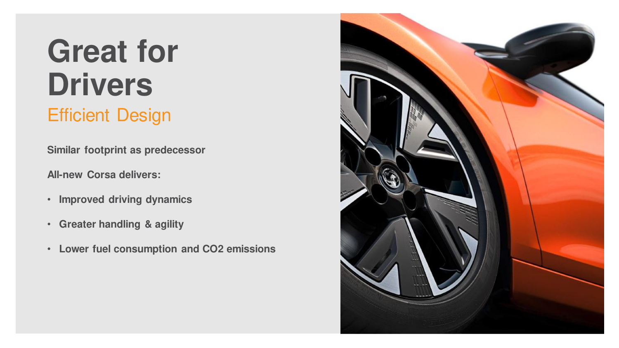## **Great for Drivers** Efficient Design

**Similar footprint as predecessor**

**All-new Corsa delivers:**

- **Improved driving dynamics**
- **Greater handling & agility**
- **Lower fuel consumption and CO2 emissions**

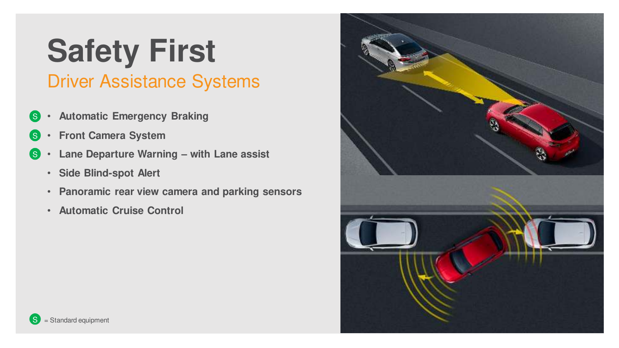## Driver Assistance Systems **Safety First**

- **Automatic Emergency Braking** S
- **Front Camera System** S
- **Lane Departure Warning – with Lane assist** S
	- **Side Blind-spot Alert**
	- **Panoramic rear view camera and parking sensors**
	- **Automatic Cruise Control**

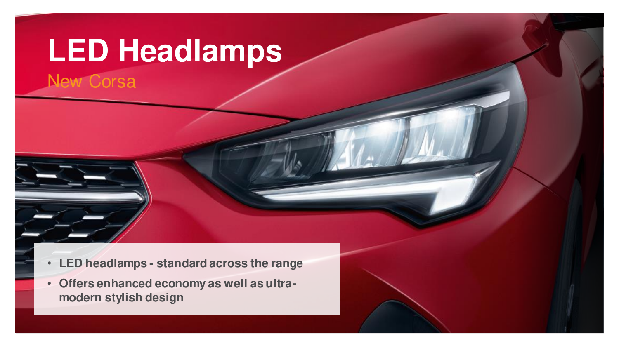## **LED Headlamps**

New Corsa



• **Offers enhanced economy as well as ultramodern stylish design**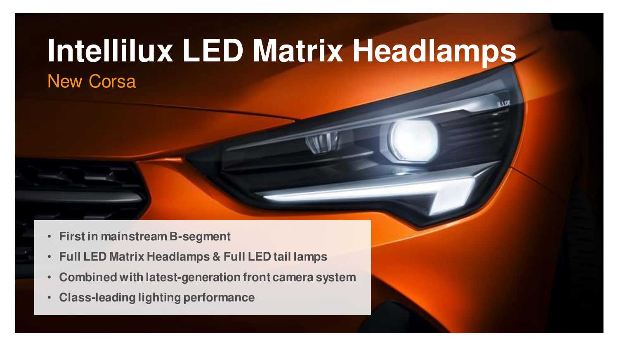## New Corsa **Intellilux LED Matrix Headlamps**

- **First in mainstream B-segment**
- **Full LED Matrix Headlamps & Full LED tail lamps**
- **Combined with latest-generation front camera system**
- **Class-leading lighting performance**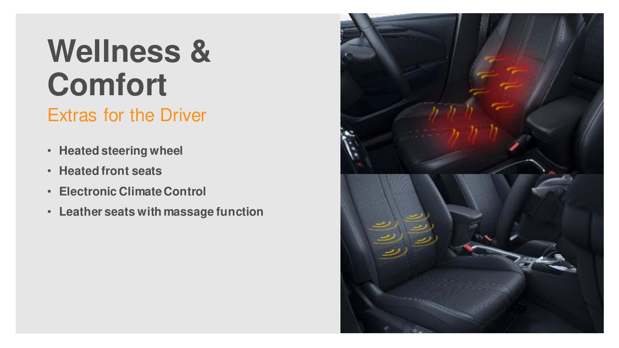# **Wellness & Comfort**

### Extras for the Driver

- **Heated steering wheel**
- **Heated front seats**
- **Electronic Climate Control**
- **Leather seats with massage function**

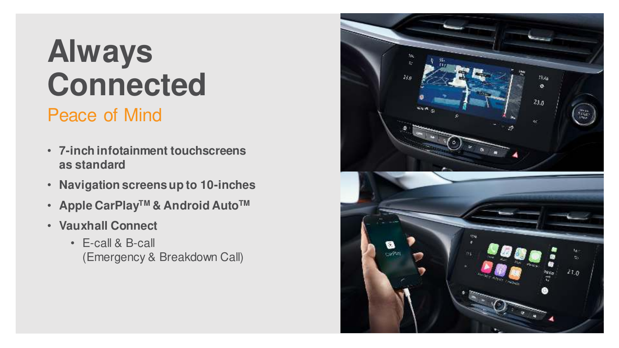# **Always Connected**

### Peace of Mind

- **7-inch infotainment touchscreens as standard**
- **Navigation screens up to 10-inches**
- **Apple CarPlayTM & Android AutoTM**
- **Vauxhall Connect**
	- E-call & B-call (Emergency & Breakdown Call)

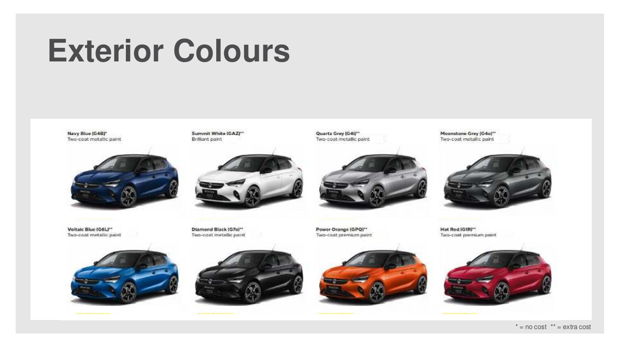# **Exterior Colours**

Navy Blue (G4B)\* Two-cost motallic paint



Voltaic Blue (G6L)\*\* Two-coat metallic paint



Diamond Black (G7o)\*\* Two-cost metallic paint

Summit White (GAZ)\*\*

Brilliant paint

Power Orange (GPQ)\*\* Two-cost premium paint

Quartz Grey (G4i)\*\*

Two-coat metallic paint



Moonstone Grey (G4o)\*\* Two-coat metallic paint



Hot Red (GIR)\*\* Two-coat premium paint

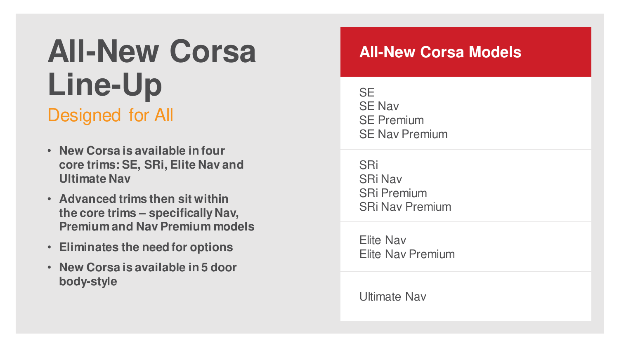## **All-New Corsa**  Line-Up Designed for All

- **New Corsa is available in four core trims: SE, SRi, Elite Nav and Ultimate Nav**
- **Advanced trims then sit within the core trims – specifically Nav, Premium and Nav Premium models**
- **Eliminates the need for options**
- **New Corsa is available in 5 door body-style**

### **All-New Corsa Models**

**SE** SE Nav SE Premium SE Nav Premium

SRi SRi Nav SRi Premium SRi Nav Premium

Elite Nav Elite Nav Premium

Ultimate Nav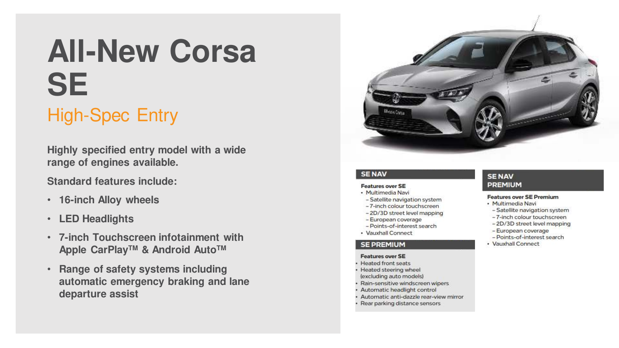# **All-New Corsa SE**

### High-Spec Entry

**Highly specified entry model with a wide range of engines available.**

**Standard features include:**

- **16-inch Alloy wheels**
- **LED Headlights**
- **7-inch Touchscreen infotainment with Apple CarPlayTM & Android AutoTM**
- **Range of safety systems including automatic emergency braking and lane departure assist**



#### **SENAV**

#### **Features over SE**

- · Multimedia Navi
- Satellite navigation system
- -7-inch colour touchscreen
- 2D/3D street level mapping
- European coverage
- Points-of-interest search
- · Vauxhall Connect

#### **SE PREMIUM**

#### **Features over SE**

- · Heated front seats
- Heated steering wheel (excluding auto models)
- Rain-sensitive windscreen wipers
- · Automatic headlight control
- · Automatic anti-dazzle rear-view mirror
- Rear parking distance sensors

#### **SENAV PREMIUM**

#### **Features over SE Premium**

- · Multimedia Navi
- Satellite navigation system
- -7-inch colour touchscreen
- -2D/3D street level mapping
- European coverage
- Points-of-interest search
- · Vauxhall Connect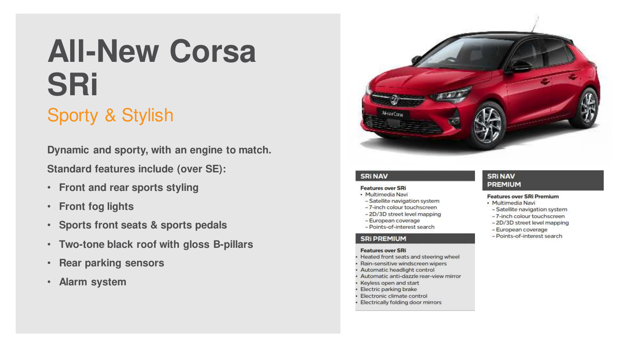# **All-New Corsa SRi**

### Sporty & Stylish

**Dynamic and sporty, with an engine to match. Standard features include (over SE):**

- **Front and rear sports styling**
- **Front fog lights**
- **Sports front seats & sports pedals**
- **Two-tone black roof with gloss B-pillars**
- **Rear parking sensors**
- **Alarm system**



#### **SRi NAV**

#### **Features over SRi**

- · Multimedia Navi
- Satellite navigation system
- -7-inch colour touchscreen
- -2D/3D street level mapping - European coverage
- Points-of-interest search

#### **SRi PREMIUM**

#### **Features over SRi**

- Heated front seats and steering wheel
- Rain-sensitive windscreen wipers
- Automatic headlight control
- · Automatic anti-dazzle rear-view mirror
- Keyless open and start
- Electric parking brake
- Electronic climate control
- Electrically folding door mirrors

#### **SRi NAV PREMIUM**

#### **Features over SRi Premium**

- · Multimedia Navi
- Satellite navigation system
- -7-inch colour touchscreen
- 2D/3D street level mapping
- European coverage
- Points-of-interest search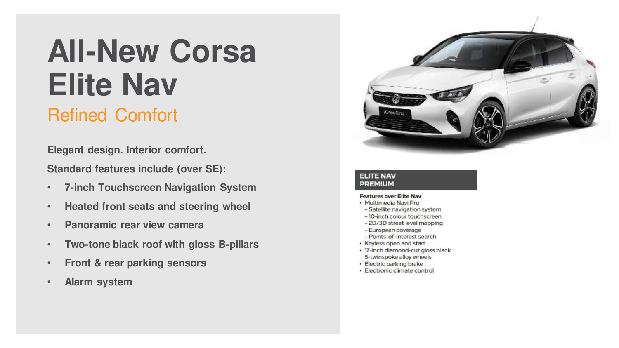# **All-New Corsa Elite Nav**

### Refined Comfort

**Elegant design. Interior comfort.** 

**Standard features include (over SE):**

- **7-inch Touchscreen Navigation System**
- **Heated front seats and steering wheel**
- **Panoramic rear view camera**
- **Two-tone black roof with gloss B-pillars**
- **Front & rear parking sensors**
- **Alarm system**



#### **ELITE NAV PREMIUM**

#### **Features over Elite Nav**

- · Multimedia Navi Pro
- Satellite navigation system
- 10-inch colour touchscreen
- 2D/3D street level mapping
- European coverage
- Points-of-interest search
- Keyless open and start
- · 17-inch diamond-cut gloss black 5-twinspoke alloy wheels
- · Electric parking brake
- · Electronic climate control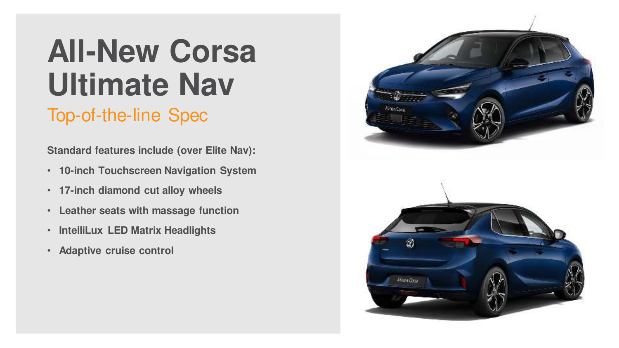# **All-New Corsa Ultimate Nav**

### Top-of-the-line Spec

**Standard features include (over Elite Nav):**

- **10-inch Touchscreen Navigation System**
- **17-inch diamond cut alloy wheels**
- **Leather seats with massage function**
- **IntelliLux LED Matrix Headlights**
- **Adaptive cruise control**

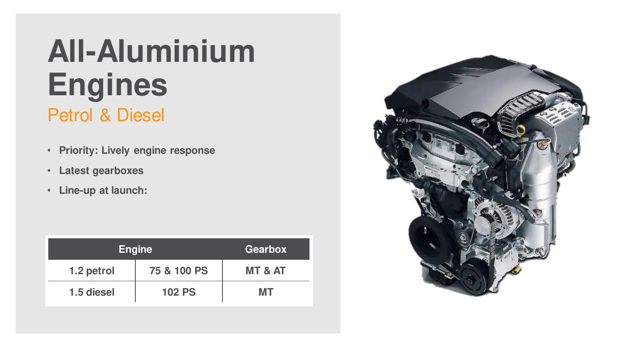## **All-Aluminium Engines** Petrol & Diesel

- **Priority: Lively engine response**
- **Latest gearboxes**
- **Line-up at launch:**

| <b>Engine</b> | <b>Gearbox</b> |                    |
|---------------|----------------|--------------------|
| 1.2 petrol    | 75 & 100 PS    | <b>MT &amp; AT</b> |
| 1.5 diesel    | <b>102 PS</b>  | MТ                 |

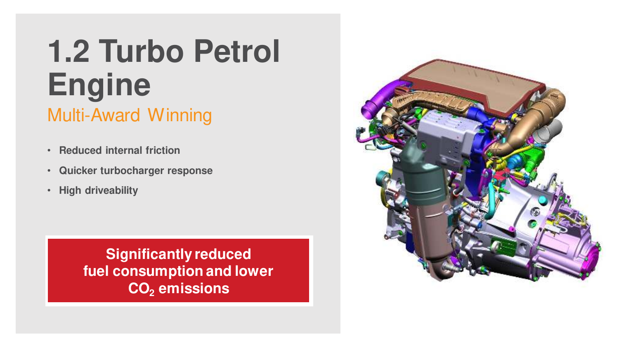## **1.2 Turbo Petrol Engine** Multi-Award Winning

- **Reduced internal friction**
- **Quicker turbocharger response**
- **High driveability**

**Significantly reduced fuel consumption and lower CO<sup>2</sup> emissions**

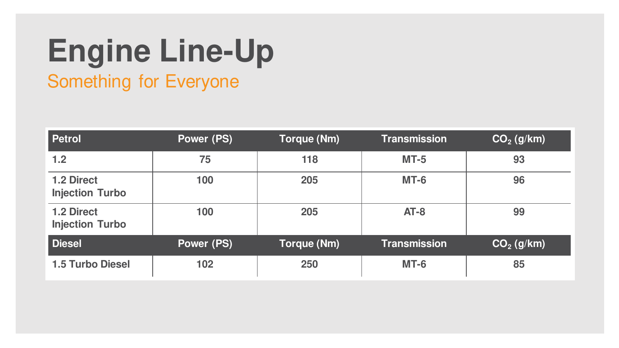## **Engine Line-Up** Something for Everyone

| <b>Petrol</b>                               | <b>Power (PS)</b> | <b>Torque (Nm)</b> | <b>Transmission</b> | $CO2$ (g/km) |
|---------------------------------------------|-------------------|--------------------|---------------------|--------------|
| 1.2                                         | 75                | 118                | $MT-5$              | 93           |
| <b>1.2 Direct</b><br><b>Injection Turbo</b> | 100               | 205                | $MT-6$              | 96           |
| <b>1.2 Direct</b><br><b>Injection Turbo</b> | 100               | 205                | $AT-8$              | 99           |
| <b>Diesel</b>                               | <b>Power (PS)</b> | Torque (Nm)        | <b>Transmission</b> | $CO2$ (g/km) |
| <b>1.5 Turbo Diesel</b>                     | 102               | 250                | <b>MT-6</b>         | 85           |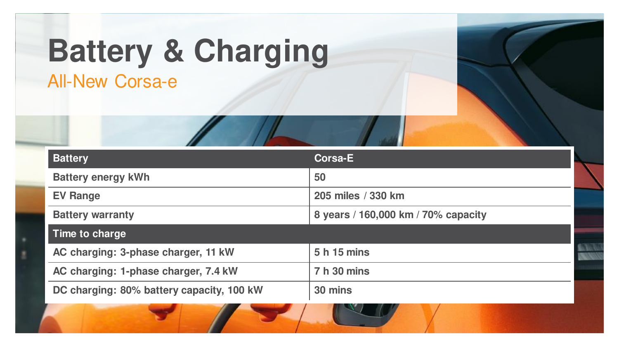# **Battery & Charging**

All-New Corsa-e

| <b>Battery</b>                            | <b>Corsa-E</b>                      |  |
|-------------------------------------------|-------------------------------------|--|
| <b>Battery energy kWh</b>                 | 50                                  |  |
| <b>EV Range</b>                           | 205 miles / 330 km                  |  |
| <b>Battery warranty</b>                   | 8 years / 160,000 km / 70% capacity |  |
| Time to charge                            |                                     |  |
| AC charging: 3-phase charger, 11 kW       | 5 h 15 mins                         |  |
| AC charging: 1-phase charger, 7.4 kW      | 7 h 30 mins                         |  |
| DC charging: 80% battery capacity, 100 kW | 30 mins                             |  |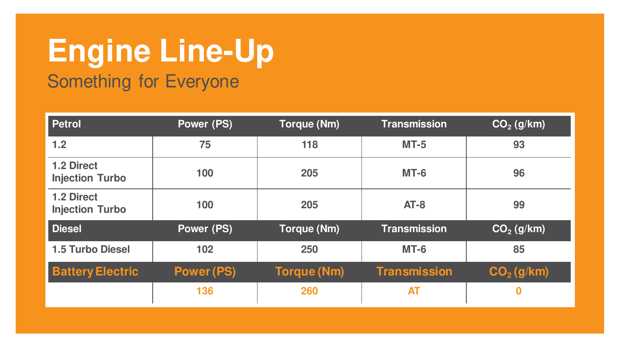## **Engine Line-Up** Something for Everyone

| <b>Petrol</b>                               | Power (PS)        | <b>Torque (Nm)</b> | <b>Transmission</b> | $CO2$ (g/km) |
|---------------------------------------------|-------------------|--------------------|---------------------|--------------|
| 1.2                                         | 75                | 118                | $MT-5$              | 93           |
| <b>1.2 Direct</b><br><b>Injection Turbo</b> | 100               | 205                | <b>MT-6</b>         | 96           |
| <b>1.2 Direct</b><br><b>Injection Turbo</b> | 100               | 205                | $AT-8$              | 99           |
| <b>Diesel</b>                               | Power (PS)        | <b>Torque (Nm)</b> | <b>Transmission</b> | $CO2$ (g/km) |
| <b>1.5 Turbo Diesel</b>                     | 102               | 250                | <b>MT-6</b>         | 85           |
| <b>Battery Electric</b>                     | <b>Power (PS)</b> | <b>Torque (Nm)</b> | <b>Transmission</b> | $CO2$ (g/km) |
|                                             | 136               | 260                | <b>AT</b>           | 0            |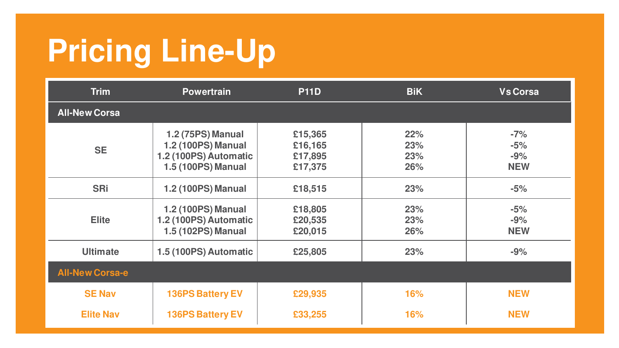# **Pricing Line-Up**

| <b>Trim</b>            | <b>Powertrain</b>                                                                                    | <b>P11D</b>                              | <b>BiK</b>               | <b>Vs Corsa</b>                       |
|------------------------|------------------------------------------------------------------------------------------------------|------------------------------------------|--------------------------|---------------------------------------|
| <b>All-New Corsa</b>   |                                                                                                      |                                          |                          |                                       |
| <b>SE</b>              | <b>1.2 (75PS) Manual</b><br><b>1.2 (100PS) Manual</b><br>1.2 (100PS) Automatic<br>1.5 (100PS) Manual | £15,365<br>£16,165<br>£17,895<br>£17,375 | 22%<br>23%<br>23%<br>26% | $-7%$<br>$-5%$<br>$-9%$<br><b>NEW</b> |
| <b>SRi</b>             | 1.2 (100PS) Manual                                                                                   | £18,515                                  | 23%                      | $-5%$                                 |
| <b>Elite</b>           | 1.2 (100PS) Manual<br>1.2 (100PS) Automatic<br>1.5 (102PS) Manual                                    | £18,805<br>£20,535<br>£20,015            | 23%<br>23%<br>26%        | $-5%$<br>$-9%$<br><b>NEW</b>          |
| <b>Ultimate</b>        | 1.5 (100PS) Automatic                                                                                | £25,805                                  | 23%                      | $-9%$                                 |
| <b>All-New Corsa-e</b> |                                                                                                      |                                          |                          |                                       |
| <b>SE Nav</b>          | <b>136PS Battery EV</b>                                                                              | £29,935                                  | 16%                      | <b>NEW</b>                            |
| <b>Elite Nav</b>       | <b>136PS Battery EV</b>                                                                              | £33,255                                  | <b>16%</b>               | <b>NEW</b>                            |